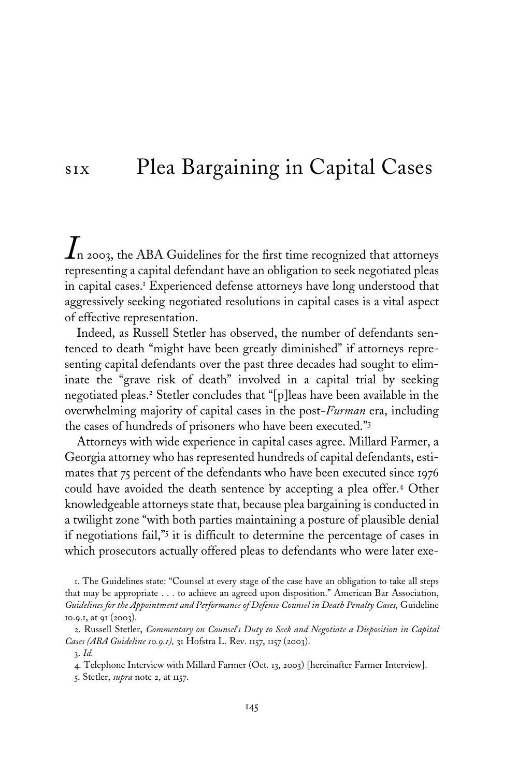# six Plea Bargaining in Capital Cases

 $\int$ n 2003, the ABA Guidelines for the first time recognized that attorneys representing a capital defendant have an obligation to seek negotiated pleas in capital cases.<sup>1</sup> Experienced defense attorneys have long understood that aggressively seeking negotiated resolutions in capital cases is a vital aspect of effective representation.

Indeed, as Russell Stetler has observed, the number of defendants sentenced to death "might have been greatly diminished" if attorneys representing capital defendants over the past three decades had sought to eliminate the "grave risk of death" involved in a capital trial by seeking negotiated pleas.2 Stetler concludes that "[p]leas have been available in the overwhelming majority of capital cases in the post*-Furman* era, including the cases of hundreds of prisoners who have been executed."3

Attorneys with wide experience in capital cases agree. Millard Farmer, a Georgia attorney who has represented hundreds of capital defendants, estimates that 75 percent of the defendants who have been executed since 1976 could have avoided the death sentence by accepting a plea offer.4 Other knowledgeable attorneys state that, because plea bargaining is conducted in a twilight zone "with both parties maintaining a posture of plausible denial if negotiations fail," $\frac{1}{2}$  it is difficult to determine the percentage of cases in which prosecutors actually offered pleas to defendants who were later exe-

<sup>1.</sup> The Guidelines state: "Counsel at every stage of the case have an obligation to take all steps that may be appropriate . . . to achieve an agreed upon disposition." American Bar Association, *Guidelines for the Appointment and Performance of Defense Counsel in Death Penalty Cases,* Guideline 10.9.1, at 91 (2003).

<sup>2.</sup> Russell Stetler, *Commentary on Counsel's Duty to Seek and Negotiate a Disposition in Capital Cases (ABA Guideline 10.9.1),* 31 Hofstra L. Rev. 1157, 1157 (2003).

<sup>3.</sup> *Id.*

<sup>4.</sup> Telephone Interview with Millard Farmer (Oct. 13, 2003) [hereinafter Farmer Interview].

<sup>5.</sup> Stetler, *supra* note 2, at 1157.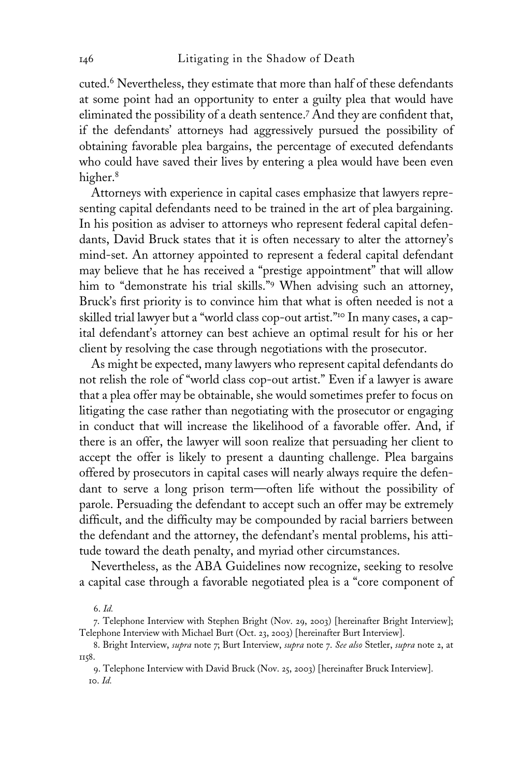cuted.6 Nevertheless, they estimate that more than half of these defendants at some point had an opportunity to enter a guilty plea that would have eliminated the possibility of a death sentence.<sup>7</sup> And they are confident that, if the defendants' attorneys had aggressively pursued the possibility of obtaining favorable plea bargains, the percentage of executed defendants who could have saved their lives by entering a plea would have been even higher.<sup>8</sup>

Attorneys with experience in capital cases emphasize that lawyers representing capital defendants need to be trained in the art of plea bargaining. In his position as adviser to attorneys who represent federal capital defendants, David Bruck states that it is often necessary to alter the attorney's mind-set. An attorney appointed to represent a federal capital defendant may believe that he has received a "prestige appointment" that will allow him to "demonstrate his trial skills."<sup>9</sup> When advising such an attorney, Bruck's first priority is to convince him that what is often needed is not a skilled trial lawyer but a "world class cop-out artist."<sup>10</sup> In many cases, a capital defendant's attorney can best achieve an optimal result for his or her client by resolving the case through negotiations with the prosecutor.

As might be expected, many lawyers who represent capital defendants do not relish the role of "world class cop-out artist." Even if a lawyer is aware that a plea offer may be obtainable, she would sometimes prefer to focus on litigating the case rather than negotiating with the prosecutor or engaging in conduct that will increase the likelihood of a favorable offer. And, if there is an offer, the lawyer will soon realize that persuading her client to accept the offer is likely to present a daunting challenge. Plea bargains offered by prosecutors in capital cases will nearly always require the defendant to serve a long prison term—often life without the possibility of parole. Persuading the defendant to accept such an offer may be extremely difficult, and the difficulty may be compounded by racial barriers between the defendant and the attorney, the defendant's mental problems, his attitude toward the death penalty, and myriad other circumstances.

Nevertheless, as the ABA Guidelines now recognize, seeking to resolve a capital case through a favorable negotiated plea is a "core component of

6. *Id.*

<sup>7.</sup> Telephone Interview with Stephen Bright (Nov. 29, 2003) [hereinafter Bright Interview]; Telephone Interview with Michael Burt (Oct. 23, 2003) [hereinafter Burt Interview].

<sup>8.</sup> Bright Interview, *supra* note 7; Burt Interview, *supra* note 7. *See also* Stetler, *supra* note 2, at 1158.

<sup>9.</sup> Telephone Interview with David Bruck (Nov. 25, 2003) [hereinafter Bruck Interview]. 10. *Id.*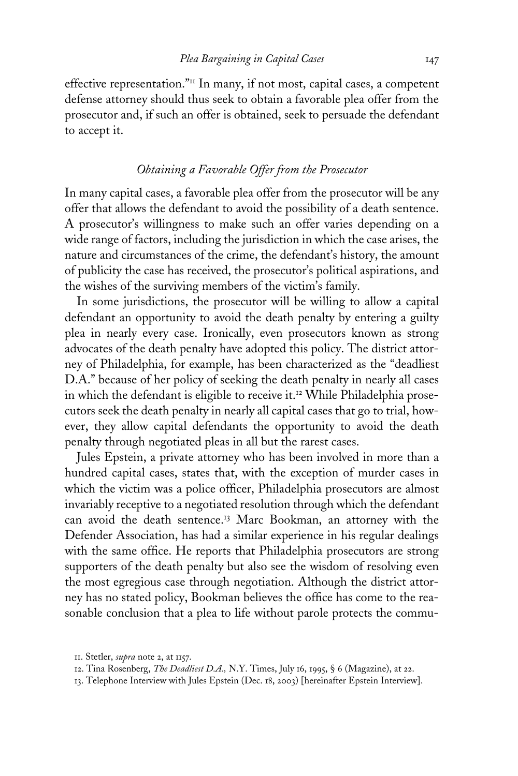effective representation."<sup>II</sup> In many, if not most, capital cases, a competent defense attorney should thus seek to obtain a favorable plea offer from the prosecutor and, if such an offer is obtained, seek to persuade the defendant to accept it.

## *Obtaining a Favorable Offer from the Prosecutor*

In many capital cases, a favorable plea offer from the prosecutor will be any offer that allows the defendant to avoid the possibility of a death sentence. A prosecutor's willingness to make such an offer varies depending on a wide range of factors, including the jurisdiction in which the case arises, the nature and circumstances of the crime, the defendant's history, the amount of publicity the case has received, the prosecutor's political aspirations, and the wishes of the surviving members of the victim's family.

In some jurisdictions, the prosecutor will be willing to allow a capital defendant an opportunity to avoid the death penalty by entering a guilty plea in nearly every case. Ironically, even prosecutors known as strong advocates of the death penalty have adopted this policy. The district attorney of Philadelphia, for example, has been characterized as the "deadliest D.A." because of her policy of seeking the death penalty in nearly all cases in which the defendant is eligible to receive it.<sup>12</sup> While Philadelphia prosecutors seek the death penalty in nearly all capital cases that go to trial, however, they allow capital defendants the opportunity to avoid the death penalty through negotiated pleas in all but the rarest cases.

Jules Epstein, a private attorney who has been involved in more than a hundred capital cases, states that, with the exception of murder cases in which the victim was a police officer, Philadelphia prosecutors are almost invariably receptive to a negotiated resolution through which the defendant can avoid the death sentence.<sup>13</sup> Marc Bookman, an attorney with the Defender Association, has had a similar experience in his regular dealings with the same office. He reports that Philadelphia prosecutors are strong supporters of the death penalty but also see the wisdom of resolving even the most egregious case through negotiation. Although the district attorney has no stated policy, Bookman believes the office has come to the reasonable conclusion that a plea to life without parole protects the commu-

<sup>11.</sup> Stetler, *supra* note 2, at 1157.

<sup>12.</sup> Tina Rosenberg, *The Deadliest D.A.,* N.Y. Times, July 16, 1995, § 6 (Magazine), at 22.

<sup>13.</sup> Telephone Interview with Jules Epstein (Dec. 18, 2003) [hereinafter Epstein Interview].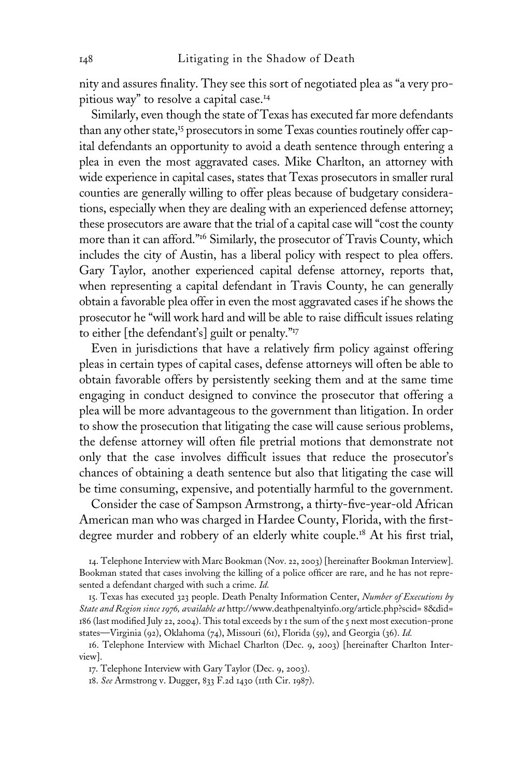nity and assures finality. They see this sort of negotiated plea as "a very propitious way" to resolve a capital case.<sup>14</sup>

Similarly, even though the state of Texas has executed far more defendants than any other state,<sup>15</sup> prosecutors in some Texas counties routinely offer capital defendants an opportunity to avoid a death sentence through entering a plea in even the most aggravated cases. Mike Charlton, an attorney with wide experience in capital cases, states that Texas prosecutors in smaller rural counties are generally willing to offer pleas because of budgetary considerations, especially when they are dealing with an experienced defense attorney; these prosecutors are aware that the trial of a capital case will "cost the county more than it can afford."<sup>16</sup> Similarly, the prosecutor of Travis County, which includes the city of Austin, has a liberal policy with respect to plea offers. Gary Taylor, another experienced capital defense attorney, reports that, when representing a capital defendant in Travis County, he can generally obtain a favorable plea offer in even the most aggravated cases if he shows the prosecutor he "will work hard and will be able to raise difficult issues relating to either [the defendant's] guilt or penalty."<sup>17</sup>

Even in jurisdictions that have a relatively firm policy against offering pleas in certain types of capital cases, defense attorneys will often be able to obtain favorable offers by persistently seeking them and at the same time engaging in conduct designed to convince the prosecutor that offering a plea will be more advantageous to the government than litigation. In order to show the prosecution that litigating the case will cause serious problems, the defense attorney will often file pretrial motions that demonstrate not only that the case involves difficult issues that reduce the prosecutor's chances of obtaining a death sentence but also that litigating the case will be time consuming, expensive, and potentially harmful to the government.

Consider the case of Sampson Armstrong, a thirty-five-year-old African American man who was charged in Hardee County, Florida, with the firstdegree murder and robbery of an elderly white couple.<sup>18</sup> At his first trial,

14. Telephone Interview with Marc Bookman (Nov. 22, 2003) [hereinafter Bookman Interview]. Bookman stated that cases involving the killing of a police officer are rare, and he has not represented a defendant charged with such a crime. *Id.*

15. Texas has executed 323 people. Death Penalty Information Center, *Number of Executions by State and Region since 1976, available at* http://www.deathpenaltyinfo.org/article.php?scid= 8&did= 186 (last modified July 22, 2004). This total exceeds by 1 the sum of the 5 next most execution-prone states—Virginia (92), Oklahoma (74), Missouri (61), Florida (59), and Georgia (36). *Id.*

16. Telephone Interview with Michael Charlton (Dec. 9, 2003) [hereinafter Charlton Interview].

17. Telephone Interview with Gary Taylor (Dec. 9, 2003).

18. *See* Armstrong v. Dugger, 833 F.2d 1430 (11th Cir. 1987).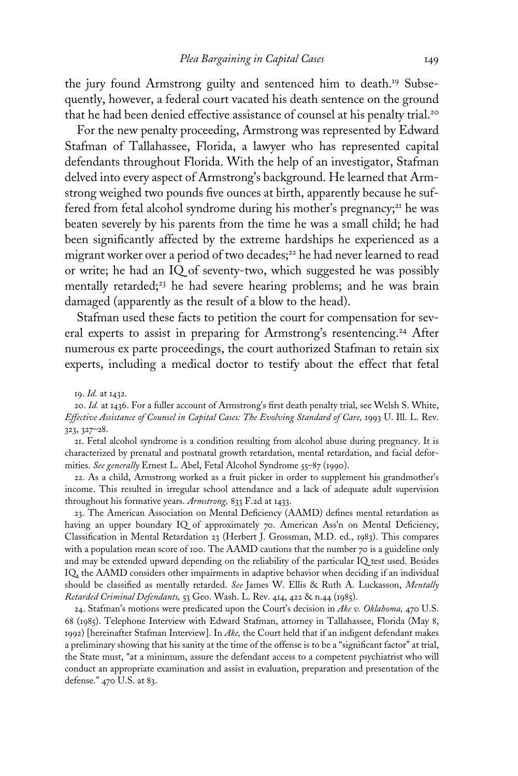the jury found Armstrong guilty and sentenced him to death.19 Subsequently, however, a federal court vacated his death sentence on the ground that he had been denied effective assistance of counsel at his penalty trial.<sup>20</sup>

For the new penalty proceeding, Armstrong was represented by Edward Stafman of Tallahassee, Florida, a lawyer who has represented capital defendants throughout Florida. With the help of an investigator, Stafman delved into every aspect of Armstrong's background. He learned that Armstrong weighed two pounds five ounces at birth, apparently because he suffered from fetal alcohol syndrome during his mother's pregnancy;<sup>21</sup> he was beaten severely by his parents from the time he was a small child; he had been significantly affected by the extreme hardships he experienced as a migrant worker over a period of two decades;<sup>22</sup> he had never learned to read or write; he had an IQ of seventy-two, which suggested he was possibly mentally retarded;<sup>23</sup> he had severe hearing problems; and he was brain damaged (apparently as the result of a blow to the head).

Stafman used these facts to petition the court for compensation for several experts to assist in preparing for Armstrong's resentencing.<sup>24</sup> After numerous ex parte proceedings, the court authorized Stafman to retain six experts, including a medical doctor to testify about the effect that fetal

19. *Id.* at 1432.

20. *Id.* at 1436. For a fuller account of Armstrong's first death penalty trial, see Welsh S. White, *Effective Assistance of Counsel in Capital Cases: The Evolving Standard of Care,* 1993 U. Ill. L. Rev. 323, 327–28.

21. Fetal alcohol syndrome is a condition resulting from alcohol abuse during pregnancy. It is characterized by prenatal and postnatal growth retardation, mental retardation, and facial deformities. *See generally* Ernest L. Abel, Fetal Alcohol Syndrome 55–87 (1990).

22. As a child, Armstrong worked as a fruit picker in order to supplement his grandmother's income. This resulted in irregular school attendance and a lack of adequate adult supervision throughout his formative years. *Armstrong,* 833 F.2d at 1433.

23. The American Association on Mental Deficiency (AAMD) defines mental retardation as having an upper boundary IQ of approximately  $70$ . American Ass'n on Mental Deficiency, Classification in Mental Retardation 23 (Herbert J. Grossman, M.D. ed., 1983). This compares with a population mean score of 100. The AAMD cautions that the number 70 is a guideline only and may be extended upward depending on the reliability of the particular IQ test used. Besides IQ, the AAMD considers other impairments in adaptive behavior when deciding if an individual should be classified as mentally retarded. See James W. Ellis & Ruth A. Luckasson, Mentally *Retarded Criminal Defendants,* 53 Geo. Wash. L. Rev. 414, 422 & n.44 (1985).

24. Stafman's motions were predicated upon the Court's decision in *Ake v. Oklahoma,* 470 U.S. 68 (1985). Telephone Interview with Edward Stafman, attorney in Tallahassee, Florida (May 8, 1992) [hereinafter Stafman Interview]. In *Ake,* the Court held that if an indigent defendant makes a preliminary showing that his sanity at the time of the offense is to be a "significant factor" at trial, the State must, "at a minimum, assure the defendant access to a competent psychiatrist who will conduct an appropriate examination and assist in evaluation, preparation and presentation of the defense." 470 U.S. at 83.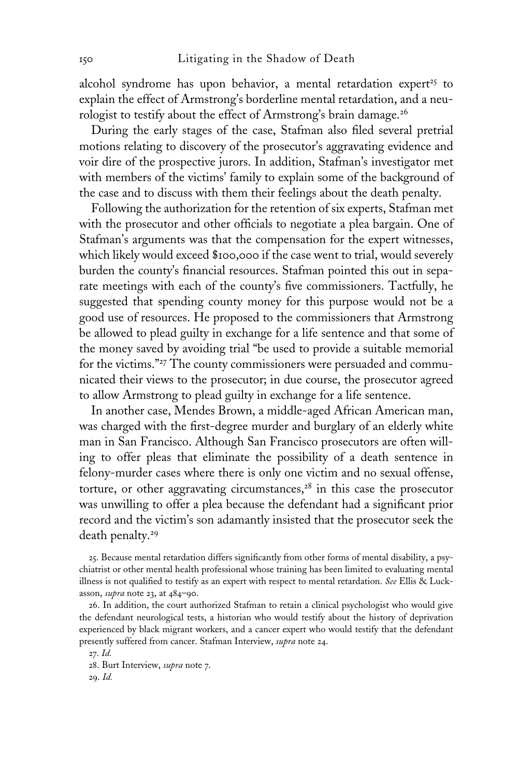alcohol syndrome has upon behavior, a mental retardation expert<sup>25</sup> to explain the effect of Armstrong's borderline mental retardation, and a neurologist to testify about the effect of Armstrong's brain damage.<sup>26</sup>

During the early stages of the case, Stafman also filed several pretrial motions relating to discovery of the prosecutor's aggravating evidence and voir dire of the prospective jurors. In addition, Stafman's investigator met with members of the victims' family to explain some of the background of the case and to discuss with them their feelings about the death penalty.

Following the authorization for the retention of six experts, Stafman met with the prosecutor and other officials to negotiate a plea bargain. One of Stafman's arguments was that the compensation for the expert witnesses, which likely would exceed \$100,000 if the case went to trial, would severely burden the county's financial resources. Stafman pointed this out in separate meetings with each of the county's five commissioners. Tactfully, he suggested that spending county money for this purpose would not be a good use of resources. He proposed to the commissioners that Armstrong be allowed to plead guilty in exchange for a life sentence and that some of the money saved by avoiding trial "be used to provide a suitable memorial for the victims."<sup>27</sup> The county commissioners were persuaded and communicated their views to the prosecutor; in due course, the prosecutor agreed to allow Armstrong to plead guilty in exchange for a life sentence.

In another case, Mendes Brown, a middle-aged African American man, was charged with the first-degree murder and burglary of an elderly white man in San Francisco. Although San Francisco prosecutors are often willing to offer pleas that eliminate the possibility of a death sentence in felony-murder cases where there is only one victim and no sexual offense, torture, or other aggravating circumstances, $28$  in this case the prosecutor was unwilling to offer a plea because the defendant had a significant prior record and the victim's son adamantly insisted that the prosecutor seek the death penalty.<sup>29</sup>

29. *Id.*

<sup>25.</sup> Because mental retardation differs significantly from other forms of mental disability, a psychiatrist or other mental health professional whose training has been limited to evaluating mental illness is not qualified to testify as an expert with respect to mental retardation. See Ellis & Luckasson, *supra* note 23, at 484–90.

<sup>26.</sup> In addition, the court authorized Stafman to retain a clinical psychologist who would give the defendant neurological tests, a historian who would testify about the history of deprivation experienced by black migrant workers, and a cancer expert who would testify that the defendant presently suffered from cancer. Stafman Interview, *supra* note 24.

<sup>27.</sup> *Id.*

<sup>28.</sup> Burt Interview, *supra* note 7.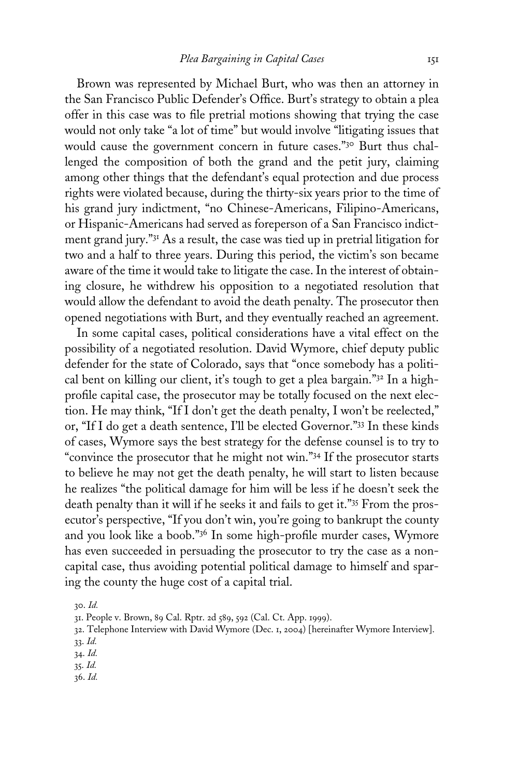Brown was represented by Michael Burt, who was then an attorney in the San Francisco Public Defender's Office. Burt's strategy to obtain a plea offer in this case was to file pretrial motions showing that trying the case would not only take "a lot of time" but would involve "litigating issues that would cause the government concern in future cases."<sup>30</sup> Burt thus challenged the composition of both the grand and the petit jury, claiming among other things that the defendant's equal protection and due process rights were violated because, during the thirty-six years prior to the time of his grand jury indictment, "no Chinese-Americans, Filipino-Americans, or Hispanic-Americans had served as foreperson of a San Francisco indictment grand jury."31 As a result, the case was tied up in pretrial litigation for two and a half to three years. During this period, the victim's son became aware of the time it would take to litigate the case. In the interest of obtaining closure, he withdrew his opposition to a negotiated resolution that would allow the defendant to avoid the death penalty. The prosecutor then opened negotiations with Burt, and they eventually reached an agreement.

In some capital cases, political considerations have a vital effect on the possibility of a negotiated resolution. David Wymore, chief deputy public defender for the state of Colorado, says that "once somebody has a political bent on killing our client, it's tough to get a plea bargain."32 In a highprofile capital case, the prosecutor may be totally focused on the next election. He may think, "If I don't get the death penalty, I won't be reelected," or, "If I do get a death sentence, I'll be elected Governor."33 In these kinds of cases, Wymore says the best strategy for the defense counsel is to try to "convince the prosecutor that he might not win."34 If the prosecutor starts to believe he may not get the death penalty, he will start to listen because he realizes "the political damage for him will be less if he doesn't seek the death penalty than it will if he seeks it and fails to get it."35 From the prosecutor's perspective, "If you don't win, you're going to bankrupt the county and you look like a boob."36 In some high-profile murder cases, Wymore has even succeeded in persuading the prosecutor to try the case as a noncapital case, thus avoiding potential political damage to himself and sparing the county the huge cost of a capital trial.

30. *Id.*

36. *Id.*

<sup>31.</sup> People v. Brown, 89 Cal. Rptr. 2d 589, 592 (Cal. Ct. App. 1999).

<sup>32.</sup> Telephone Interview with David Wymore (Dec. 1, 2004) [hereinafter Wymore Interview].

<sup>33.</sup> *Id.*

<sup>34.</sup> *Id.*

<sup>35.</sup> *Id.*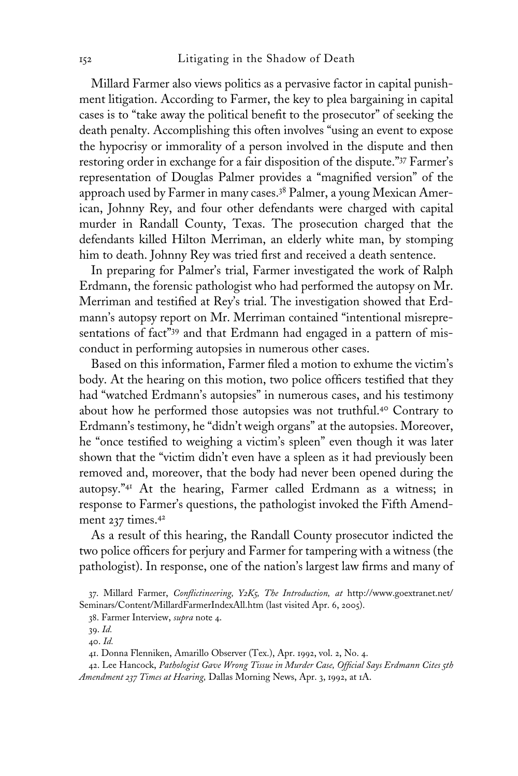Millard Farmer also views politics as a pervasive factor in capital punishment litigation. According to Farmer, the key to plea bargaining in capital cases is to "take away the political benefit to the prosecutor" of seeking the death penalty. Accomplishing this often involves "using an event to expose the hypocrisy or immorality of a person involved in the dispute and then restoring order in exchange for a fair disposition of the dispute."37 Farmer's representation of Douglas Palmer provides a "magnified version" of the approach used by Farmer in many cases.38 Palmer, a young Mexican American, Johnny Rey, and four other defendants were charged with capital murder in Randall County, Texas. The prosecution charged that the defendants killed Hilton Merriman, an elderly white man, by stomping him to death. Johnny Rey was tried first and received a death sentence.

In preparing for Palmer's trial, Farmer investigated the work of Ralph Erdmann, the forensic pathologist who had performed the autopsy on Mr. Merriman and testified at Rey's trial. The investigation showed that Erdmann's autopsy report on Mr. Merriman contained "intentional misrepresentations of fact"39 and that Erdmann had engaged in a pattern of misconduct in performing autopsies in numerous other cases.

Based on this information, Farmer filed a motion to exhume the victim's body. At the hearing on this motion, two police officers testified that they had "watched Erdmann's autopsies" in numerous cases, and his testimony about how he performed those autopsies was not truthful.<sup>40</sup> Contrary to Erdmann's testimony, he "didn't weigh organs" at the autopsies. Moreover, he "once testified to weighing a victim's spleen" even though it was later shown that the "victim didn't even have a spleen as it had previously been removed and, moreover, that the body had never been opened during the autopsy."<sup>41</sup> At the hearing, Farmer called Erdmann as a witness; in response to Farmer's questions, the pathologist invoked the Fifth Amendment 237 times.<sup>42</sup>

As a result of this hearing, the Randall County prosecutor indicted the two police officers for perjury and Farmer for tampering with a witness (the pathologist). In response, one of the nation's largest law firms and many of

<sup>37.</sup> Millard Farmer, *Conflictineering*, Y2K5, The Introduction, at http://www.goextranet.net/ Seminars/Content/MillardFarmerIndexAll.htm (last visited Apr. 6, 2005).

<sup>38.</sup> Farmer Interview, *supra* note 4.

<sup>39.</sup> *Id.*

<sup>40.</sup> *Id.*

<sup>41.</sup> Donna Flenniken, Amarillo Observer (Tex.), Apr. 1992, vol. 2, No. 4.

<sup>42.</sup> Lee Hancock, Pathologist Gave Wrong Tissue in Murder Case, Official Says Erdmann Cites 5th *Amendment 237 Times at Hearing,* Dallas Morning News, Apr. 3, 1992, at 1A.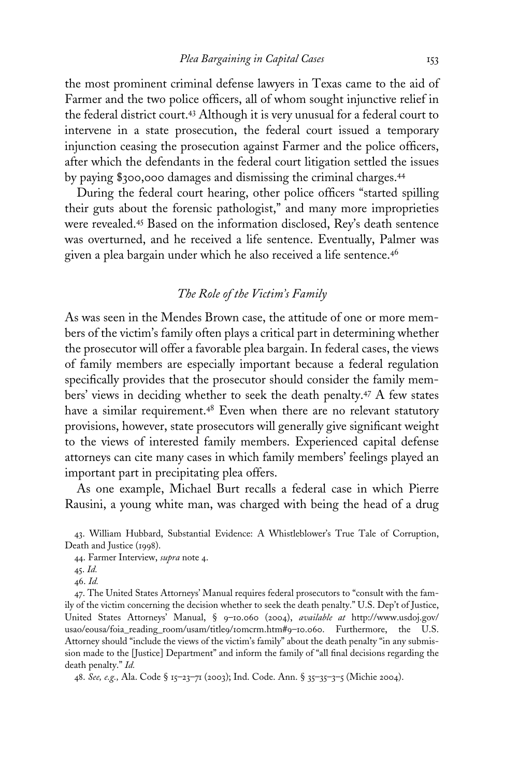the most prominent criminal defense lawyers in Texas came to the aid of Farmer and the two police officers, all of whom sought injunctive relief in the federal district court.43 Although it is very unusual for a federal court to intervene in a state prosecution, the federal court issued a temporary injunction ceasing the prosecution against Farmer and the police officers, after which the defendants in the federal court litigation settled the issues by paying \$300,000 damages and dismissing the criminal charges.44

During the federal court hearing, other police officers "started spilling their guts about the forensic pathologist," and many more improprieties were revealed.<sup>45</sup> Based on the information disclosed, Rey's death sentence was overturned, and he received a life sentence. Eventually, Palmer was given a plea bargain under which he also received a life sentence.46

## *The Role of the Victim's Family*

As was seen in the Mendes Brown case, the attitude of one or more members of the victim's family often plays a critical part in determining whether the prosecutor will offer a favorable plea bargain. In federal cases, the views of family members are especially important because a federal regulation specifically provides that the prosecutor should consider the family members' views in deciding whether to seek the death penalty.47 A few states have a similar requirement.<sup>48</sup> Even when there are no relevant statutory provisions, however, state prosecutors will generally give significant weight to the views of interested family members. Experienced capital defense attorneys can cite many cases in which family members' feelings played an important part in precipitating plea offers.

As one example, Michael Burt recalls a federal case in which Pierre Rausini, a young white man, was charged with being the head of a drug

43. William Hubbard, Substantial Evidence: A Whistleblower's True Tale of Corruption, Death and Justice (1998).

44. Farmer Interview, *supra* note 4.

45. *Id.*

46. *Id.*

47. The United States Attorneys' Manual requires federal prosecutors to "consult with the family of the victim concerning the decision whether to seek the death penalty." U.S. Dep't of Justice, United States Attorneys' Manual, § 9–10.060 (2004), *available at* http://www.usdoj.gov/ usao/eousa/foia\_reading\_room/usam/title9/10mcrm.htm#9–10.060. Furthermore, the U.S. Attorney should "include the views of the victim's family" about the death penalty "in any submission made to the [Justice] Department" and inform the family of "all final decisions regarding the death penalty." *Id.*

48. *See, e.g.,* Ala. Code § 15–23–71 (2003); Ind. Code. Ann. § 35–35–3–5 (Michie 2004).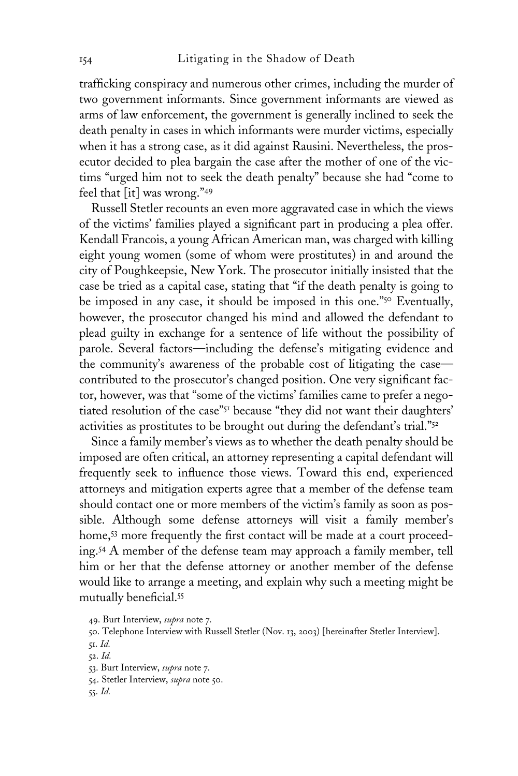trafficking conspiracy and numerous other crimes, including the murder of two government informants. Since government informants are viewed as arms of law enforcement, the government is generally inclined to seek the death penalty in cases in which informants were murder victims, especially when it has a strong case, as it did against Rausini. Nevertheless, the prosecutor decided to plea bargain the case after the mother of one of the victims "urged him not to seek the death penalty" because she had "come to feel that [it] was wrong."<sup>49</sup>

Russell Stetler recounts an even more aggravated case in which the views of the victims' families played a significant part in producing a plea offer. Kendall Francois, a young African American man, was charged with killing eight young women (some of whom were prostitutes) in and around the city of Poughkeepsie, New York. The prosecutor initially insisted that the case be tried as a capital case, stating that "if the death penalty is going to be imposed in any case, it should be imposed in this one."<sup>50</sup> Eventually, however, the prosecutor changed his mind and allowed the defendant to plead guilty in exchange for a sentence of life without the possibility of parole. Several factors—including the defense's mitigating evidence and the community's awareness of the probable cost of litigating the case contributed to the prosecutor's changed position. One very significant factor, however, was that "some of the victims' families came to prefer a negotiated resolution of the case"<sup>51</sup> because "they did not want their daughters' activities as prostitutes to be brought out during the defendant's trial."52

Since a family member's views as to whether the death penalty should be imposed are often critical, an attorney representing a capital defendant will frequently seek to influence those views. Toward this end, experienced attorneys and mitigation experts agree that a member of the defense team should contact one or more members of the victim's family as soon as possible. Although some defense attorneys will visit a family member's home,<sup>53</sup> more frequently the first contact will be made at a court proceeding.54 A member of the defense team may approach a family member, tell him or her that the defense attorney or another member of the defense would like to arrange a meeting, and explain why such a meeting might be mutually beneficial.<sup>55</sup>

50. Telephone Interview with Russell Stetler (Nov. 13, 2003) [hereinafter Stetler Interview].

<sup>49.</sup> Burt Interview, *supra* note 7.

<sup>51.</sup> *Id.*

<sup>52.</sup> *Id.*

<sup>53.</sup> Burt Interview, *supra* note 7.

<sup>54.</sup> Stetler Interview, *supra* note 50.

<sup>55.</sup> *Id.*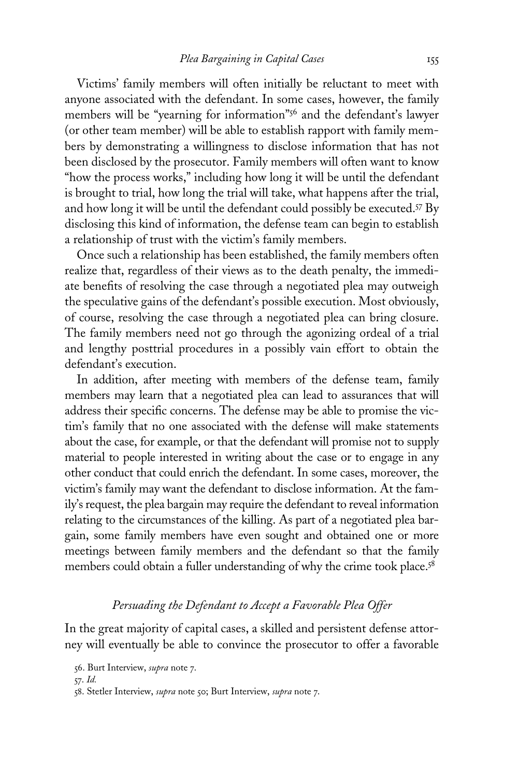Victims' family members will often initially be reluctant to meet with anyone associated with the defendant. In some cases, however, the family members will be "yearning for information"56 and the defendant's lawyer (or other team member) will be able to establish rapport with family members by demonstrating a willingness to disclose information that has not been disclosed by the prosecutor. Family members will often want to know "how the process works," including how long it will be until the defendant is brought to trial, how long the trial will take, what happens after the trial, and how long it will be until the defendant could possibly be executed.57 By disclosing this kind of information, the defense team can begin to establish a relationship of trust with the victim's family members.

Once such a relationship has been established, the family members often realize that, regardless of their views as to the death penalty, the immediate benefits of resolving the case through a negotiated plea may outweigh the speculative gains of the defendant's possible execution. Most obviously, of course, resolving the case through a negotiated plea can bring closure. The family members need not go through the agonizing ordeal of a trial and lengthy posttrial procedures in a possibly vain effort to obtain the defendant's execution.

In addition, after meeting with members of the defense team, family members may learn that a negotiated plea can lead to assurances that will address their specific concerns. The defense may be able to promise the victim's family that no one associated with the defense will make statements about the case, for example, or that the defendant will promise not to supply material to people interested in writing about the case or to engage in any other conduct that could enrich the defendant. In some cases, moreover, the victim's family may want the defendant to disclose information. At the family's request, the plea bargain may require the defendant to reveal information relating to the circumstances of the killing. As part of a negotiated plea bargain, some family members have even sought and obtained one or more meetings between family members and the defendant so that the family members could obtain a fuller understanding of why the crime took place.<sup>58</sup>

## *Persuading the Defendant to Accept a Favorable Plea Offer*

In the great majority of capital cases, a skilled and persistent defense attorney will eventually be able to convince the prosecutor to offer a favorable

<sup>56.</sup> Burt Interview, *supra* note 7.

<sup>57.</sup> *Id.*

<sup>58.</sup> Stetler Interview, *supra* note 50; Burt Interview, *supra* note 7.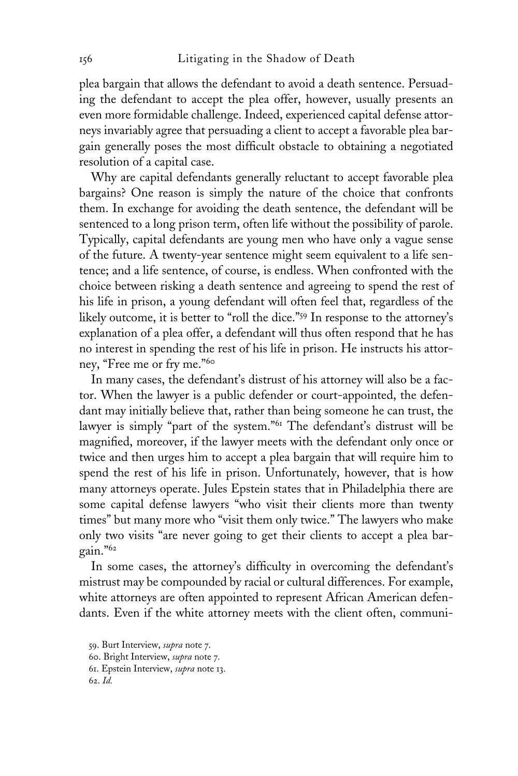plea bargain that allows the defendant to avoid a death sentence. Persuading the defendant to accept the plea offer, however, usually presents an even more formidable challenge. Indeed, experienced capital defense attorneys invariably agree that persuading a client to accept a favorable plea bargain generally poses the most difficult obstacle to obtaining a negotiated resolution of a capital case.

Why are capital defendants generally reluctant to accept favorable plea bargains? One reason is simply the nature of the choice that confronts them. In exchange for avoiding the death sentence, the defendant will be sentenced to a long prison term, often life without the possibility of parole. Typically, capital defendants are young men who have only a vague sense of the future. A twenty-year sentence might seem equivalent to a life sentence; and a life sentence, of course, is endless. When confronted with the choice between risking a death sentence and agreeing to spend the rest of his life in prison, a young defendant will often feel that, regardless of the likely outcome, it is better to "roll the dice."59 In response to the attorney's explanation of a plea offer, a defendant will thus often respond that he has no interest in spending the rest of his life in prison. He instructs his attorney, "Free me or fry me."<sup>60</sup>

In many cases, the defendant's distrust of his attorney will also be a factor. When the lawyer is a public defender or court-appointed, the defendant may initially believe that, rather than being someone he can trust, the lawyer is simply "part of the system."61 The defendant's distrust will be magnified, moreover, if the lawyer meets with the defendant only once or twice and then urges him to accept a plea bargain that will require him to spend the rest of his life in prison. Unfortunately, however, that is how many attorneys operate. Jules Epstein states that in Philadelphia there are some capital defense lawyers "who visit their clients more than twenty times" but many more who "visit them only twice." The lawyers who make only two visits "are never going to get their clients to accept a plea bargain."<sup>62</sup>

In some cases, the attorney's difficulty in overcoming the defendant's mistrust may be compounded by racial or cultural differences. For example, white attorneys are often appointed to represent African American defendants. Even if the white attorney meets with the client often, communi-

<sup>59.</sup> Burt Interview, *supra* note 7.

<sup>60.</sup> Bright Interview, *supra* note 7.

<sup>61.</sup> Epstein Interview, *supra* note 13.

<sup>62.</sup> *Id.*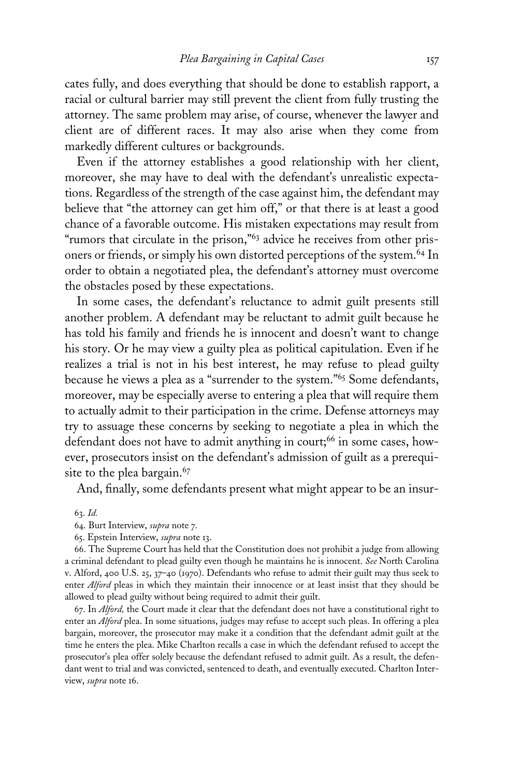cates fully, and does everything that should be done to establish rapport, a racial or cultural barrier may still prevent the client from fully trusting the attorney. The same problem may arise, of course, whenever the lawyer and client are of different races. It may also arise when they come from markedly different cultures or backgrounds.

Even if the attorney establishes a good relationship with her client, moreover, she may have to deal with the defendant's unrealistic expectations. Regardless of the strength of the case against him, the defendant may believe that "the attorney can get him off," or that there is at least a good chance of a favorable outcome. His mistaken expectations may result from "rumors that circulate in the prison,"63 advice he receives from other prisoners or friends, or simply his own distorted perceptions of the system.<sup>64</sup> In order to obtain a negotiated plea, the defendant's attorney must overcome the obstacles posed by these expectations.

In some cases, the defendant's reluctance to admit guilt presents still another problem. A defendant may be reluctant to admit guilt because he has told his family and friends he is innocent and doesn't want to change his story. Or he may view a guilty plea as political capitulation. Even if he realizes a trial is not in his best interest, he may refuse to plead guilty because he views a plea as a "surrender to the system."65 Some defendants, moreover, may be especially averse to entering a plea that will require them to actually admit to their participation in the crime. Defense attorneys may try to assuage these concerns by seeking to negotiate a plea in which the defendant does not have to admit anything in court;<sup>66</sup> in some cases, however, prosecutors insist on the defendant's admission of guilt as a prerequisite to the plea bargain.<sup>67</sup>

And, finally, some defendants present what might appear to be an insur-

63. *Id.*

64. Burt Interview, *supra* note 7.

65. Epstein Interview, *supra* note 13.

66. The Supreme Court has held that the Constitution does not prohibit a judge from allowing a criminal defendant to plead guilty even though he maintains he is innocent. *See* North Carolina v. Alford, 400 U.S. 25, 37–40 (1970). Defendants who refuse to admit their guilt may thus seek to enter *Alford* pleas in which they maintain their innocence or at least insist that they should be allowed to plead guilty without being required to admit their guilt.

67. In *Alford,* the Court made it clear that the defendant does not have a constitutional right to enter an *Alford* plea. In some situations, judges may refuse to accept such pleas. In offering a plea bargain, moreover, the prosecutor may make it a condition that the defendant admit guilt at the time he enters the plea. Mike Charlton recalls a case in which the defendant refused to accept the prosecutor's plea offer solely because the defendant refused to admit guilt. As a result, the defendant went to trial and was convicted, sentenced to death, and eventually executed. Charlton Interview, *supra* note 16.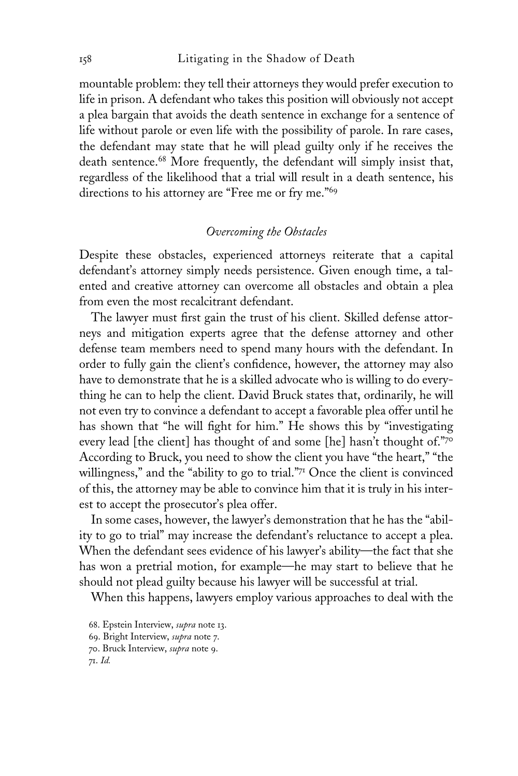mountable problem: they tell their attorneys they would prefer execution to life in prison. A defendant who takes this position will obviously not accept a plea bargain that avoids the death sentence in exchange for a sentence of life without parole or even life with the possibility of parole. In rare cases, the defendant may state that he will plead guilty only if he receives the death sentence.68 More frequently, the defendant will simply insist that, regardless of the likelihood that a trial will result in a death sentence, his directions to his attorney are "Free me or fry me."69

### *Overcoming the Obstacles*

Despite these obstacles, experienced attorneys reiterate that a capital defendant's attorney simply needs persistence. Given enough time, a talented and creative attorney can overcome all obstacles and obtain a plea from even the most recalcitrant defendant.

The lawyer must first gain the trust of his client. Skilled defense attorneys and mitigation experts agree that the defense attorney and other defense team members need to spend many hours with the defendant. In order to fully gain the client's confidence, however, the attorney may also have to demonstrate that he is a skilled advocate who is willing to do everything he can to help the client. David Bruck states that, ordinarily, he will not even try to convince a defendant to accept a favorable plea offer until he has shown that "he will fight for him." He shows this by "investigating every lead [the client] has thought of and some [he] hasn't thought of."70 According to Bruck, you need to show the client you have "the heart," "the willingness," and the "ability to go to trial."7<sup>1</sup> Once the client is convinced of this, the attorney may be able to convince him that it is truly in his interest to accept the prosecutor's plea offer.

In some cases, however, the lawyer's demonstration that he has the "ability to go to trial" may increase the defendant's reluctance to accept a plea. When the defendant sees evidence of his lawyer's ability—the fact that she has won a pretrial motion, for example—he may start to believe that he should not plead guilty because his lawyer will be successful at trial.

When this happens, lawyers employ various approaches to deal with the

<sup>68.</sup> Epstein Interview, *supra* note 13. 69. Bright Interview, *supra* note 7. 70. Bruck Interview, *supra* note 9. 71. *Id.*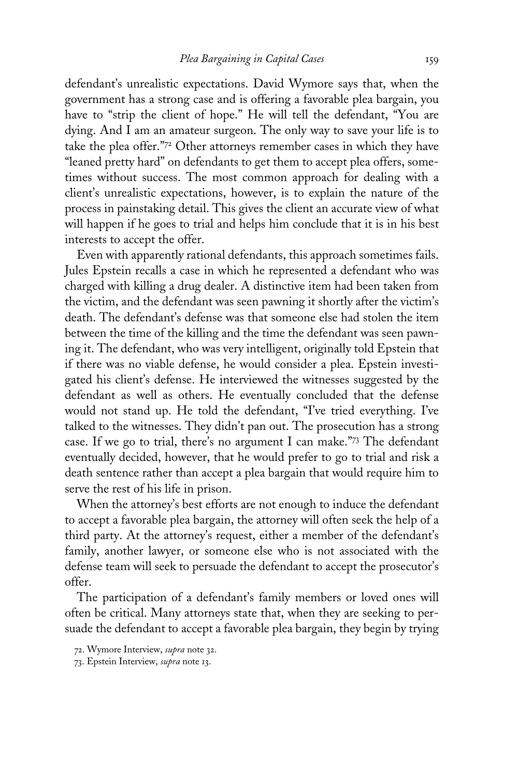defendant's unrealistic expectations. David Wymore says that, when the government has a strong case and is offering a favorable plea bargain, you have to "strip the client of hope." He will tell the defendant, "You are dying. And I am an amateur surgeon. The only way to save your life is to take the plea offer."<sup>72</sup> Other attorneys remember cases in which they have "leaned pretty hard" on defendants to get them to accept plea offers, sometimes without success. The most common approach for dealing with a client's unrealistic expectations, however, is to explain the nature of the process in painstaking detail. This gives the client an accurate view of what will happen if he goes to trial and helps him conclude that it is in his best interests to accept the offer.

Even with apparently rational defendants, this approach sometimes fails. Jules Epstein recalls a case in which he represented a defendant who was charged with killing a drug dealer. A distinctive item had been taken from the victim, and the defendant was seen pawning it shortly after the victim's death. The defendant's defense was that someone else had stolen the item between the time of the killing and the time the defendant was seen pawning it. The defendant, who was very intelligent, originally told Epstein that if there was no viable defense, he would consider a plea. Epstein investigated his client's defense. He interviewed the witnesses suggested by the defendant as well as others. He eventually concluded that the defense would not stand up. He told the defendant, "I've tried everything. I've talked to the witnesses. They didn't pan out. The prosecution has a strong case. If we go to trial, there's no argument I can make."73 The defendant eventually decided, however, that he would prefer to go to trial and risk a death sentence rather than accept a plea bargain that would require him to serve the rest of his life in prison.

When the attorney's best efforts are not enough to induce the defendant to accept a favorable plea bargain, the attorney will often seek the help of a third party. At the attorney's request, either a member of the defendant's family, another lawyer, or someone else who is not associated with the defense team will seek to persuade the defendant to accept the prosecutor's offer.

The participation of a defendant's family members or loved ones will often be critical. Many attorneys state that, when they are seeking to persuade the defendant to accept a favorable plea bargain, they begin by trying

<sup>72.</sup> Wymore Interview, *supra* note 32.

<sup>73.</sup> Epstein Interview, *supra* note 13.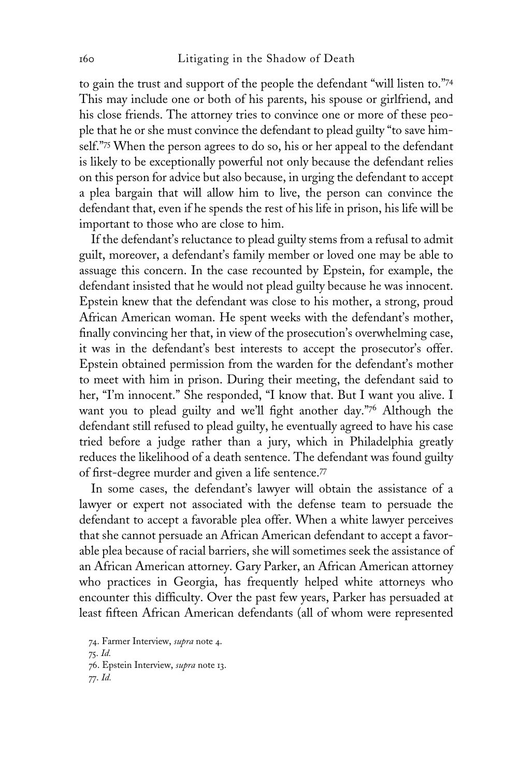to gain the trust and support of the people the defendant "will listen to."74 This may include one or both of his parents, his spouse or girlfriend, and his close friends. The attorney tries to convince one or more of these people that he or she must convince the defendant to plead guilty "to save himself."<sup>75</sup> When the person agrees to do so, his or her appeal to the defendant is likely to be exceptionally powerful not only because the defendant relies on this person for advice but also because, in urging the defendant to accept a plea bargain that will allow him to live, the person can convince the defendant that, even if he spends the rest of his life in prison, his life will be important to those who are close to him.

If the defendant's reluctance to plead guilty stems from a refusal to admit guilt, moreover, a defendant's family member or loved one may be able to assuage this concern. In the case recounted by Epstein, for example, the defendant insisted that he would not plead guilty because he was innocent. Epstein knew that the defendant was close to his mother, a strong, proud African American woman. He spent weeks with the defendant's mother, finally convincing her that, in view of the prosecution's overwhelming case, it was in the defendant's best interests to accept the prosecutor's offer. Epstein obtained permission from the warden for the defendant's mother to meet with him in prison. During their meeting, the defendant said to her, "I'm innocent." She responded, "I know that. But I want you alive. I want you to plead guilty and we'll fight another day."76 Although the defendant still refused to plead guilty, he eventually agreed to have his case tried before a judge rather than a jury, which in Philadelphia greatly reduces the likelihood of a death sentence. The defendant was found guilty of first-degree murder and given a life sentence.<sup>77</sup>

In some cases, the defendant's lawyer will obtain the assistance of a lawyer or expert not associated with the defense team to persuade the defendant to accept a favorable plea offer. When a white lawyer perceives that she cannot persuade an African American defendant to accept a favorable plea because of racial barriers, she will sometimes seek the assistance of an African American attorney. Gary Parker, an African American attorney who practices in Georgia, has frequently helped white attorneys who encounter this difficulty. Over the past few years, Parker has persuaded at least fifteen African American defendants (all of whom were represented

<sup>74.</sup> Farmer Interview, *supra* note 4.

<sup>75.</sup> *Id.*

<sup>76.</sup> Epstein Interview, *supra* note 13.

<sup>77.</sup> *Id.*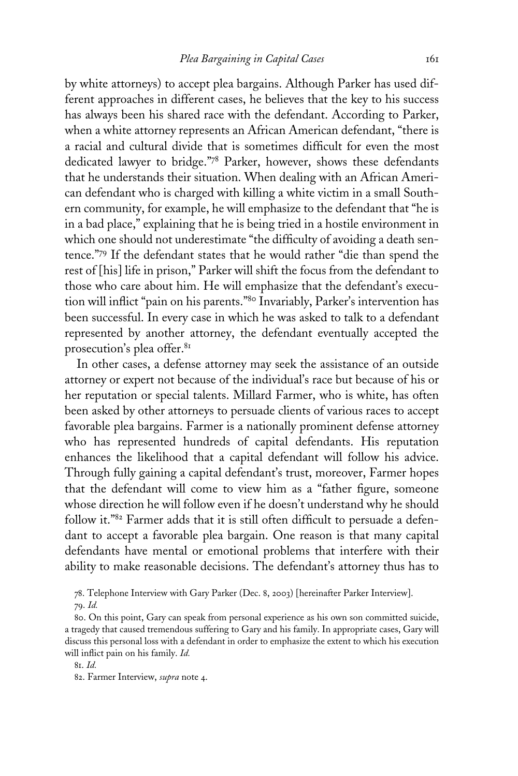by white attorneys) to accept plea bargains. Although Parker has used different approaches in different cases, he believes that the key to his success has always been his shared race with the defendant. According to Parker, when a white attorney represents an African American defendant, "there is a racial and cultural divide that is sometimes difficult for even the most dedicated lawyer to bridge."78 Parker, however, shows these defendants that he understands their situation. When dealing with an African American defendant who is charged with killing a white victim in a small Southern community, for example, he will emphasize to the defendant that "he is in a bad place," explaining that he is being tried in a hostile environment in which one should not underestimate "the difficulty of avoiding a death sentence."<sup>79</sup> If the defendant states that he would rather "die than spend the rest of [his] life in prison," Parker will shift the focus from the defendant to those who care about him. He will emphasize that the defendant's execution will inflict "pain on his parents."<sup>80</sup> Invariably, Parker's intervention has been successful. In every case in which he was asked to talk to a defendant represented by another attorney, the defendant eventually accepted the prosecution's plea offer.<sup>81</sup>

In other cases, a defense attorney may seek the assistance of an outside attorney or expert not because of the individual's race but because of his or her reputation or special talents. Millard Farmer, who is white, has often been asked by other attorneys to persuade clients of various races to accept favorable plea bargains. Farmer is a nationally prominent defense attorney who has represented hundreds of capital defendants. His reputation enhances the likelihood that a capital defendant will follow his advice. Through fully gaining a capital defendant's trust, moreover, Farmer hopes that the defendant will come to view him as a "father figure, someone whose direction he will follow even if he doesn't understand why he should follow it."<sup>82</sup> Farmer adds that it is still often difficult to persuade a defendant to accept a favorable plea bargain. One reason is that many capital defendants have mental or emotional problems that interfere with their ability to make reasonable decisions. The defendant's attorney thus has to

78. Telephone Interview with Gary Parker (Dec. 8, 2003) [hereinafter Parker Interview]. 79. *Id.*

82. Farmer Interview, *supra* note 4.

<sup>80.</sup> On this point, Gary can speak from personal experience as his own son committed suicide, a tragedy that caused tremendous suffering to Gary and his family. In appropriate cases, Gary will discuss this personal loss with a defendant in order to emphasize the extent to which his execution will inflict pain on his family. *Id.* 

<sup>81.</sup> *Id.*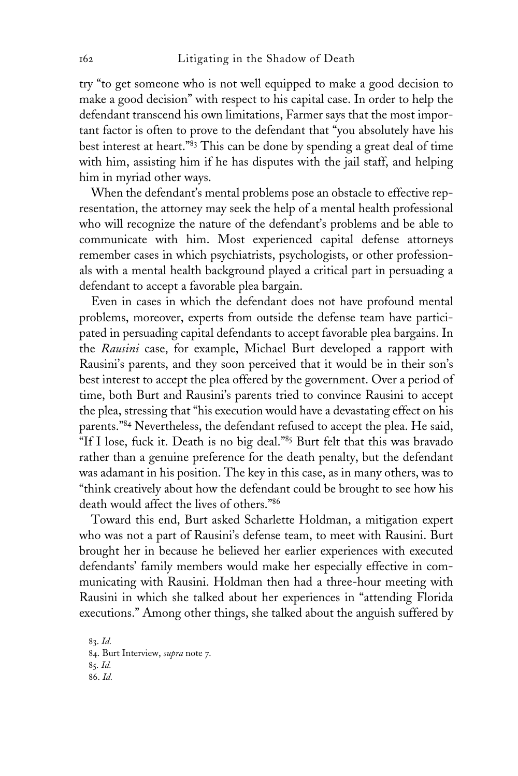try "to get someone who is not well equipped to make a good decision to make a good decision" with respect to his capital case. In order to help the defendant transcend his own limitations, Farmer says that the most important factor is often to prove to the defendant that "you absolutely have his best interest at heart."<sup>83</sup> This can be done by spending a great deal of time with him, assisting him if he has disputes with the jail staff, and helping him in myriad other ways.

When the defendant's mental problems pose an obstacle to effective representation, the attorney may seek the help of a mental health professional who will recognize the nature of the defendant's problems and be able to communicate with him. Most experienced capital defense attorneys remember cases in which psychiatrists, psychologists, or other professionals with a mental health background played a critical part in persuading a defendant to accept a favorable plea bargain.

Even in cases in which the defendant does not have profound mental problems, moreover, experts from outside the defense team have participated in persuading capital defendants to accept favorable plea bargains. In the *Rausini* case, for example, Michael Burt developed a rapport with Rausini's parents, and they soon perceived that it would be in their son's best interest to accept the plea offered by the government. Over a period of time, both Burt and Rausini's parents tried to convince Rausini to accept the plea, stressing that "his execution would have a devastating effect on his parents."84 Nevertheless, the defendant refused to accept the plea. He said, "If I lose, fuck it. Death is no big deal."85 Burt felt that this was bravado rather than a genuine preference for the death penalty, but the defendant was adamant in his position. The key in this case, as in many others, was to "think creatively about how the defendant could be brought to see how his death would affect the lives of others."<sup>86</sup>

Toward this end, Burt asked Scharlette Holdman, a mitigation expert who was not a part of Rausini's defense team, to meet with Rausini. Burt brought her in because he believed her earlier experiences with executed defendants' family members would make her especially effective in communicating with Rausini. Holdman then had a three-hour meeting with Rausini in which she talked about her experiences in "attending Florida executions." Among other things, she talked about the anguish suffered by

83. *Id.* 84. Burt Interview, *supra* note 7. 85. *Id.* 86. *Id.*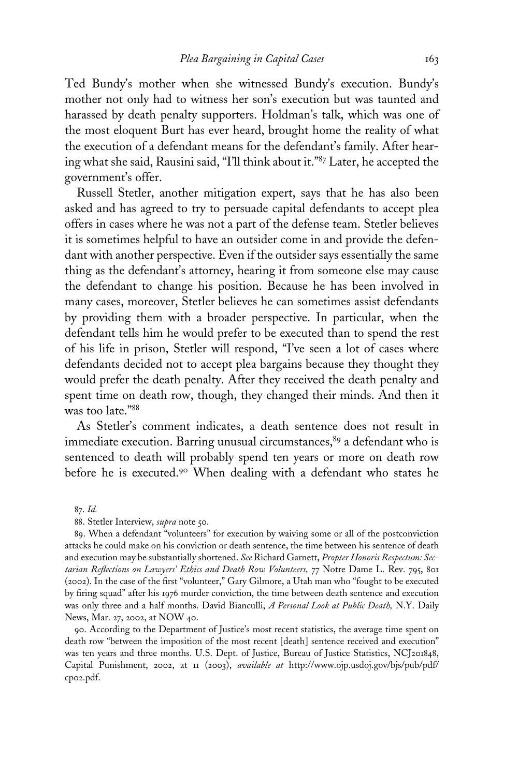Ted Bundy's mother when she witnessed Bundy's execution. Bundy's mother not only had to witness her son's execution but was taunted and harassed by death penalty supporters. Holdman's talk, which was one of the most eloquent Burt has ever heard, brought home the reality of what the execution of a defendant means for the defendant's family. After hearing what she said, Rausini said, "I'll think about it."87 Later, he accepted the government's offer.

Russell Stetler, another mitigation expert, says that he has also been asked and has agreed to try to persuade capital defendants to accept plea offers in cases where he was not a part of the defense team. Stetler believes it is sometimes helpful to have an outsider come in and provide the defendant with another perspective. Even if the outsider says essentially the same thing as the defendant's attorney, hearing it from someone else may cause the defendant to change his position. Because he has been involved in many cases, moreover, Stetler believes he can sometimes assist defendants by providing them with a broader perspective. In particular, when the defendant tells him he would prefer to be executed than to spend the rest of his life in prison, Stetler will respond, "I've seen a lot of cases where defendants decided not to accept plea bargains because they thought they would prefer the death penalty. After they received the death penalty and spent time on death row, though, they changed their minds. And then it was too late."<sup>88</sup>

As Stetler's comment indicates, a death sentence does not result in immediate execution. Barring unusual circumstances,<sup>89</sup> a defendant who is sentenced to death will probably spend ten years or more on death row before he is executed.<sup>90</sup> When dealing with a defendant who states he

87. *Id.*

90. According to the Department of Justice's most recent statistics, the average time spent on death row "between the imposition of the most recent [death] sentence received and execution" was ten years and three months. U.S. Dept. of Justice, Bureau of Justice Statistics, NCJ201848, Capital Punishment, 2002, at 11 (2003), *available at* http://www.ojp.usdoj.gov/bjs/pub/pdf/ cp02.pdf.

<sup>88.</sup> Stetler Interview, *supra* note 50.

<sup>89.</sup> When a defendant "volunteers" for execution by waiving some or all of the postconviction attacks he could make on his conviction or death sentence, the time between his sentence of death and execution may be substantially shortened. *See* Richard Garnett, *Propter Honoris Respectum: Sectarian Reflections on Lawyers' Ethics and Death Row Volunteers, 77 Notre Dame L. Rev. 795, 801* (2002). In the case of the first "volunteer," Gary Gilmore, a Utah man who "fought to be executed by firing squad" after his 1976 murder conviction, the time between death sentence and execution was only three and a half months. David Bianculli, *A Personal Look at Public Death,* N.Y. Daily News, Mar. 27, 2002, at NOW 40.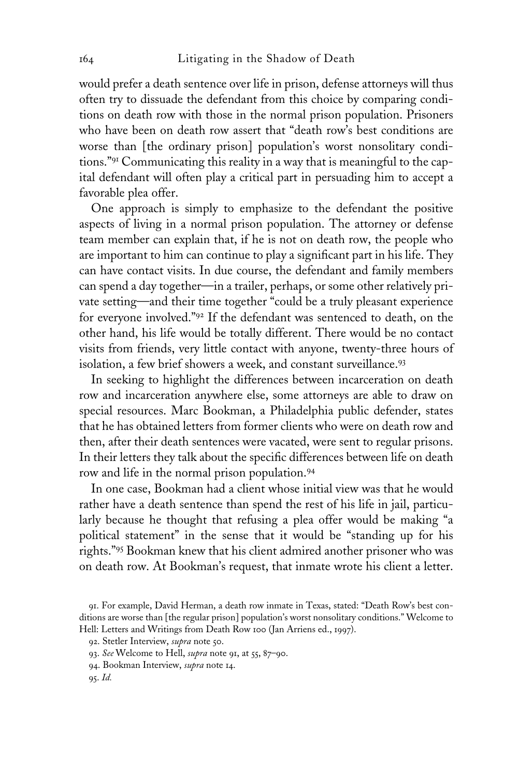would prefer a death sentence over life in prison, defense attorneys will thus often try to dissuade the defendant from this choice by comparing conditions on death row with those in the normal prison population. Prisoners who have been on death row assert that "death row's best conditions are worse than [the ordinary prison] population's worst nonsolitary conditions."91 Communicating this reality in a way that is meaningful to the capital defendant will often play a critical part in persuading him to accept a favorable plea offer.

One approach is simply to emphasize to the defendant the positive aspects of living in a normal prison population. The attorney or defense team member can explain that, if he is not on death row, the people who are important to him can continue to play a significant part in his life. They can have contact visits. In due course, the defendant and family members can spend a day together—in a trailer, perhaps, or some other relatively private setting—and their time together "could be a truly pleasant experience for everyone involved."<sup>92</sup> If the defendant was sentenced to death, on the other hand, his life would be totally different. There would be no contact visits from friends, very little contact with anyone, twenty-three hours of isolation, a few brief showers a week, and constant surveillance.<sup>93</sup>

In seeking to highlight the differences between incarceration on death row and incarceration anywhere else, some attorneys are able to draw on special resources. Marc Bookman, a Philadelphia public defender, states that he has obtained letters from former clients who were on death row and then, after their death sentences were vacated, were sent to regular prisons. In their letters they talk about the specific differences between life on death row and life in the normal prison population.94

In one case, Bookman had a client whose initial view was that he would rather have a death sentence than spend the rest of his life in jail, particularly because he thought that refusing a plea offer would be making "a political statement" in the sense that it would be "standing up for his rights."<sup>95</sup> Bookman knew that his client admired another prisoner who was on death row. At Bookman's request, that inmate wrote his client a letter.

<sup>91.</sup> For example, David Herman, a death row inmate in Texas, stated: "Death Row's best conditions are worse than [the regular prison] population's worst nonsolitary conditions." Welcome to Hell: Letters and Writings from Death Row 100 (Jan Arriens ed., 1997).

<sup>92.</sup> Stetler Interview, *supra* note 50.

<sup>93.</sup> *See* Welcome to Hell, *supra* note 91, at 55, 87–90.

<sup>94.</sup> Bookman Interview, *supra* note 14.

<sup>95.</sup> *Id.*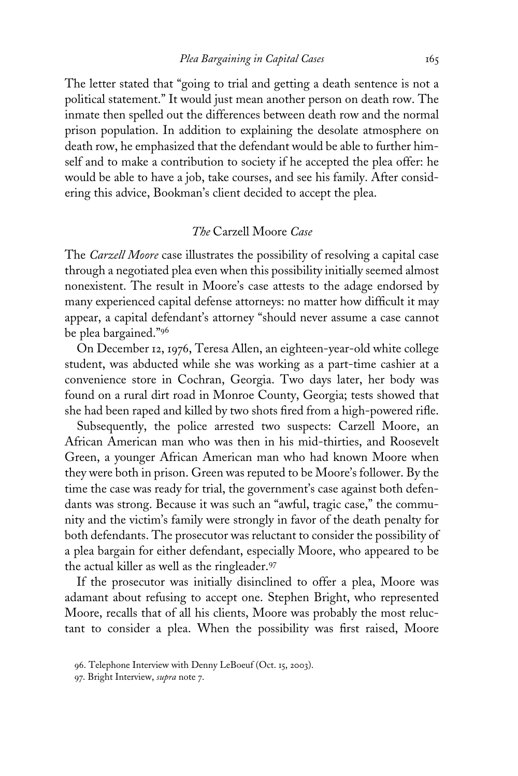The letter stated that "going to trial and getting a death sentence is not a political statement." It would just mean another person on death row. The inmate then spelled out the differences between death row and the normal prison population. In addition to explaining the desolate atmosphere on death row, he emphasized that the defendant would be able to further himself and to make a contribution to society if he accepted the plea offer: he would be able to have a job, take courses, and see his family. After considering this advice, Bookman's client decided to accept the plea.

## *The* Carzell Moore *Case*

The *Carzell Moore* case illustrates the possibility of resolving a capital case through a negotiated plea even when this possibility initially seemed almost nonexistent. The result in Moore's case attests to the adage endorsed by many experienced capital defense attorneys: no matter how difficult it may appear, a capital defendant's attorney "should never assume a case cannot be plea bargained."96

On December 12, 1976, Teresa Allen, an eighteen-year-old white college student, was abducted while she was working as a part-time cashier at a convenience store in Cochran, Georgia. Two days later, her body was found on a rural dirt road in Monroe County, Georgia; tests showed that she had been raped and killed by two shots fired from a high-powered rifle.

Subsequently, the police arrested two suspects: Carzell Moore, an African American man who was then in his mid-thirties, and Roosevelt Green, a younger African American man who had known Moore when they were both in prison. Green was reputed to be Moore's follower. By the time the case was ready for trial, the government's case against both defendants was strong. Because it was such an "awful, tragic case," the community and the victim's family were strongly in favor of the death penalty for both defendants. The prosecutor was reluctant to consider the possibility of a plea bargain for either defendant, especially Moore, who appeared to be the actual killer as well as the ringleader.<sup>97</sup>

If the prosecutor was initially disinclined to offer a plea, Moore was adamant about refusing to accept one. Stephen Bright, who represented Moore, recalls that of all his clients, Moore was probably the most reluctant to consider a plea. When the possibility was first raised, Moore

<sup>96.</sup> Telephone Interview with Denny LeBoeuf (Oct. 15, 2003).

<sup>97.</sup> Bright Interview, *supra* note 7.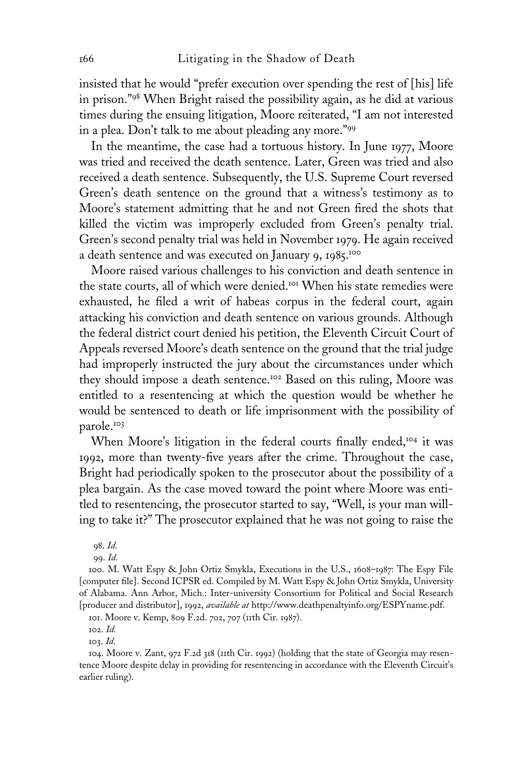insisted that he would "prefer execution over spending the rest of [his] life in prison."98 When Bright raised the possibility again, as he did at various times during the ensuing litigation, Moore reiterated, "I am not interested in a plea. Don't talk to me about pleading any more."99

In the meantime, the case had a tortuous history. In June 1977, Moore was tried and received the death sentence. Later, Green was tried and also received a death sentence. Subsequently, the U.S. Supreme Court reversed Green's death sentence on the ground that a witness's testimony as to Moore's statement admitting that he and not Green fired the shots that killed the victim was improperly excluded from Green's penalty trial. Green's second penalty trial was held in November 1979. He again received a death sentence and was executed on January 9, 1985.<sup>100</sup>

Moore raised various challenges to his conviction and death sentence in the state courts, all of which were denied.<sup>IOI</sup> When his state remedies were exhausted, he filed a writ of habeas corpus in the federal court, again attacking his conviction and death sentence on various grounds. Although the federal district court denied his petition, the Eleventh Circuit Court of Appeals reversed Moore's death sentence on the ground that the trial judge had improperly instructed the jury about the circumstances under which they should impose a death sentence.<sup>102</sup> Based on this ruling, Moore was entitled to a resentencing at which the question would be whether he would be sentenced to death or life imprisonment with the possibility of parole.<sup>103</sup>

When Moore's litigation in the federal courts finally ended,<sup>104</sup> it was 1992, more than twenty-five years after the crime. Throughout the case, Bright had periodically spoken to the prosecutor about the possibility of a plea bargain. As the case moved toward the point where Moore was entitled to resentencing, the prosecutor started to say, "Well, is your man willing to take it?" The prosecutor explained that he was not going to raise the

98. *Id.*

99. *Id.*

100. M. Watt Espy & John Ortiz Smykla, Executions in the U.S., 1608–1987: The Espy File [computer file]. Second ICPSR ed. Compiled by M. Watt Espy & John Ortiz Smykla, University of Alabama. Ann Arbor, Mich.: Inter-university Consortium for Political and Social Research [producer and distributor], 1992, *available at* http://www.deathpenaltyinfo.org/ESPYname.pdf.

101. Moore v. Kemp, 809 F.2d. 702, 707 (11th Cir. 1987).

102. *Id.*

103. *Id.*

104. Moore v. Zant, 972 F.2d 318 (11th Cir. 1992) (holding that the state of Georgia may resentence Moore despite delay in providing for resentencing in accordance with the Eleventh Circuit's earlier ruling).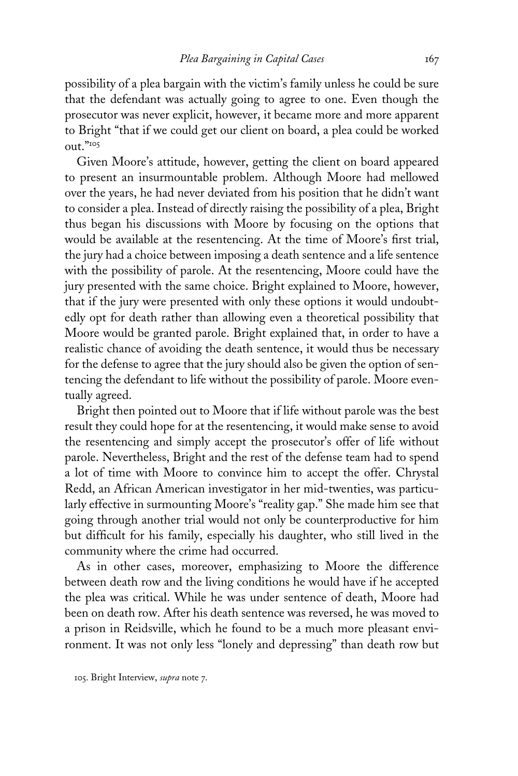possibility of a plea bargain with the victim's family unless he could be sure that the defendant was actually going to agree to one. Even though the prosecutor was never explicit, however, it became more and more apparent to Bright "that if we could get our client on board, a plea could be worked out."<sup>105</sup>

Given Moore's attitude, however, getting the client on board appeared to present an insurmountable problem. Although Moore had mellowed over the years, he had never deviated from his position that he didn't want to consider a plea. Instead of directly raising the possibility of a plea, Bright thus began his discussions with Moore by focusing on the options that would be available at the resentencing. At the time of Moore's first trial, the jury had a choice between imposing a death sentence and a life sentence with the possibility of parole. At the resentencing, Moore could have the jury presented with the same choice. Bright explained to Moore, however, that if the jury were presented with only these options it would undoubtedly opt for death rather than allowing even a theoretical possibility that Moore would be granted parole. Bright explained that, in order to have a realistic chance of avoiding the death sentence, it would thus be necessary for the defense to agree that the jury should also be given the option of sentencing the defendant to life without the possibility of parole. Moore eventually agreed.

Bright then pointed out to Moore that if life without parole was the best result they could hope for at the resentencing, it would make sense to avoid the resentencing and simply accept the prosecutor's offer of life without parole. Nevertheless, Bright and the rest of the defense team had to spend a lot of time with Moore to convince him to accept the offer. Chrystal Redd, an African American investigator in her mid-twenties, was particularly effective in surmounting Moore's "reality gap." She made him see that going through another trial would not only be counterproductive for him but difficult for his family, especially his daughter, who still lived in the community where the crime had occurred.

As in other cases, moreover, emphasizing to Moore the difference between death row and the living conditions he would have if he accepted the plea was critical. While he was under sentence of death, Moore had been on death row. After his death sentence was reversed, he was moved to a prison in Reidsville, which he found to be a much more pleasant environment. It was not only less "lonely and depressing" than death row but

<sup>105.</sup> Bright Interview, *supra* note 7.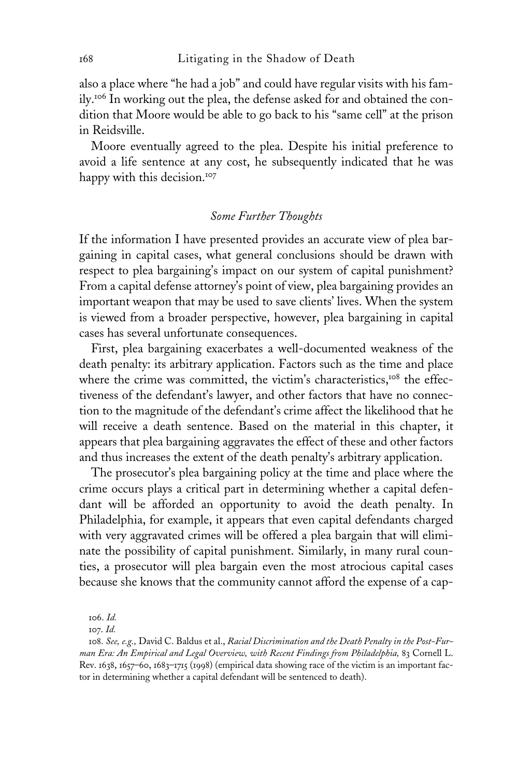also a place where "he had a job" and could have regular visits with his family.106 In working out the plea, the defense asked for and obtained the condition that Moore would be able to go back to his "same cell" at the prison in Reidsville.

Moore eventually agreed to the plea. Despite his initial preference to avoid a life sentence at any cost, he subsequently indicated that he was happy with this decision.<sup>107</sup>

#### *Some Further Thoughts*

If the information I have presented provides an accurate view of plea bargaining in capital cases, what general conclusions should be drawn with respect to plea bargaining's impact on our system of capital punishment? From a capital defense attorney's point of view, plea bargaining provides an important weapon that may be used to save clients' lives. When the system is viewed from a broader perspective, however, plea bargaining in capital cases has several unfortunate consequences.

First, plea bargaining exacerbates a well-documented weakness of the death penalty: its arbitrary application. Factors such as the time and place where the crime was committed, the victim's characteristics,<sup>108</sup> the effectiveness of the defendant's lawyer, and other factors that have no connection to the magnitude of the defendant's crime affect the likelihood that he will receive a death sentence. Based on the material in this chapter, it appears that plea bargaining aggravates the effect of these and other factors and thus increases the extent of the death penalty's arbitrary application.

The prosecutor's plea bargaining policy at the time and place where the crime occurs plays a critical part in determining whether a capital defendant will be afforded an opportunity to avoid the death penalty. In Philadelphia, for example, it appears that even capital defendants charged with very aggravated crimes will be offered a plea bargain that will eliminate the possibility of capital punishment. Similarly, in many rural counties, a prosecutor will plea bargain even the most atrocious capital cases because she knows that the community cannot afford the expense of a cap-

<sup>106.</sup> *Id.*

<sup>107.</sup> *Id.*

<sup>108.</sup> *See, e.g.,* David C. Baldus et al., *Racial Discrimination and the Death Penalty in the Post-Furman Era: An Empirical and Legal Overview, with Recent Findings from Philadelphia,* 83 Cornell L. Rev. 1638, 1657–60, 1683–1715 (1998) (empirical data showing race of the victim is an important factor in determining whether a capital defendant will be sentenced to death).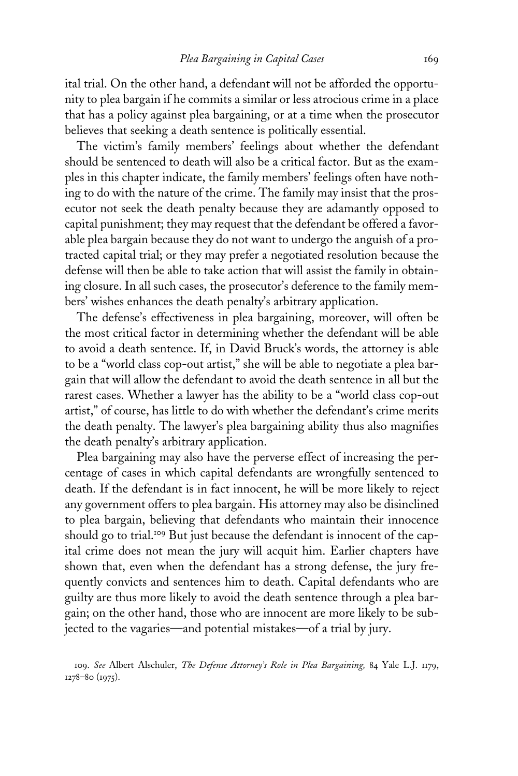ital trial. On the other hand, a defendant will not be afforded the opportunity to plea bargain if he commits a similar or less atrocious crime in a place that has a policy against plea bargaining, or at a time when the prosecutor believes that seeking a death sentence is politically essential.

The victim's family members' feelings about whether the defendant should be sentenced to death will also be a critical factor. But as the examples in this chapter indicate, the family members' feelings often have nothing to do with the nature of the crime. The family may insist that the prosecutor not seek the death penalty because they are adamantly opposed to capital punishment; they may request that the defendant be offered a favorable plea bargain because they do not want to undergo the anguish of a protracted capital trial; or they may prefer a negotiated resolution because the defense will then be able to take action that will assist the family in obtaining closure. In all such cases, the prosecutor's deference to the family members' wishes enhances the death penalty's arbitrary application.

The defense's effectiveness in plea bargaining, moreover, will often be the most critical factor in determining whether the defendant will be able to avoid a death sentence. If, in David Bruck's words, the attorney is able to be a "world class cop-out artist," she will be able to negotiate a plea bargain that will allow the defendant to avoid the death sentence in all but the rarest cases. Whether a lawyer has the ability to be a "world class cop-out artist," of course, has little to do with whether the defendant's crime merits the death penalty. The lawyer's plea bargaining ability thus also magnifies the death penalty's arbitrary application.

Plea bargaining may also have the perverse effect of increasing the percentage of cases in which capital defendants are wrongfully sentenced to death. If the defendant is in fact innocent, he will be more likely to reject any government offers to plea bargain. His attorney may also be disinclined to plea bargain, believing that defendants who maintain their innocence should go to trial.<sup>109</sup> But just because the defendant is innocent of the capital crime does not mean the jury will acquit him. Earlier chapters have shown that, even when the defendant has a strong defense, the jury frequently convicts and sentences him to death. Capital defendants who are guilty are thus more likely to avoid the death sentence through a plea bargain; on the other hand, those who are innocent are more likely to be subjected to the vagaries—and potential mistakes—of a trial by jury.

<sup>109.</sup> *See* Albert Alschuler, *The Defense Attorney's Role in Plea Bargaining,* 84 Yale L.J. 1179, 1278–80 (1975).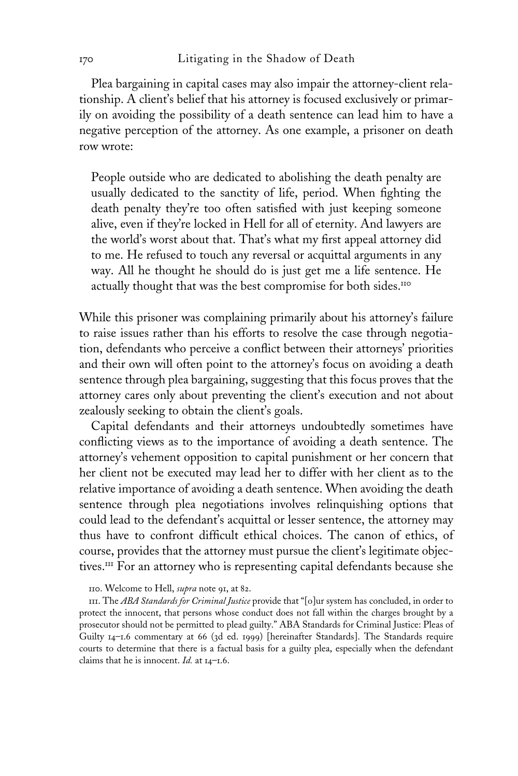#### 170 Litigating in the Shadow of Death

Plea bargaining in capital cases may also impair the attorney-client relationship. A client's belief that his attorney is focused exclusively or primarily on avoiding the possibility of a death sentence can lead him to have a negative perception of the attorney. As one example, a prisoner on death row wrote:

People outside who are dedicated to abolishing the death penalty are usually dedicated to the sanctity of life, period. When fighting the death penalty they're too often satisfied with just keeping someone alive, even if they're locked in Hell for all of eternity. And lawyers are the world's worst about that. That's what my first appeal attorney did to me. He refused to touch any reversal or acquittal arguments in any way. All he thought he should do is just get me a life sentence. He actually thought that was the best compromise for both sides.<sup>110</sup>

While this prisoner was complaining primarily about his attorney's failure to raise issues rather than his efforts to resolve the case through negotiation, defendants who perceive a conflict between their attorneys' priorities and their own will often point to the attorney's focus on avoiding a death sentence through plea bargaining, suggesting that this focus proves that the attorney cares only about preventing the client's execution and not about zealously seeking to obtain the client's goals.

Capital defendants and their attorneys undoubtedly sometimes have conflicting views as to the importance of avoiding a death sentence. The attorney's vehement opposition to capital punishment or her concern that her client not be executed may lead her to differ with her client as to the relative importance of avoiding a death sentence. When avoiding the death sentence through plea negotiations involves relinquishing options that could lead to the defendant's acquittal or lesser sentence, the attorney may thus have to confront difficult ethical choices. The canon of ethics, of course, provides that the attorney must pursue the client's legitimate objectives.<sup>111</sup> For an attorney who is representing capital defendants because she

110. Welcome to Hell, *supra* note 91, at 82.

111. The *ABA Standards for Criminal Justice* provide that "[o]ur system has concluded, in order to protect the innocent, that persons whose conduct does not fall within the charges brought by a prosecutor should not be permitted to plead guilty." ABA Standards for Criminal Justice: Pleas of Guilty 14–1.6 commentary at 66 (3d ed. 1999) [hereinafter Standards]. The Standards require courts to determine that there is a factual basis for a guilty plea, especially when the defendant claims that he is innocent. *Id.* at 14–1.6.